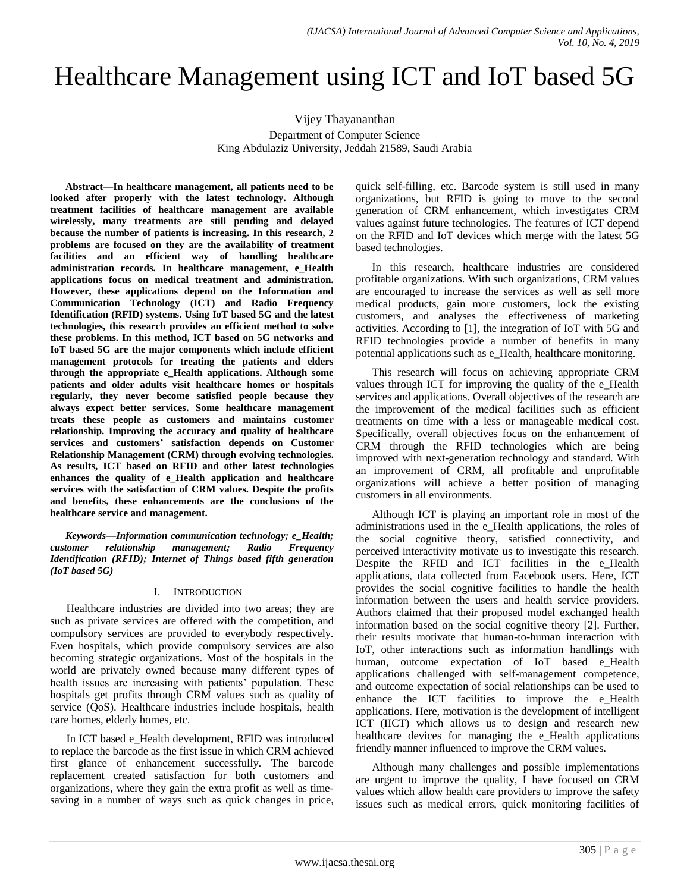# Healthcare Management using ICT and IoT based 5G

Vijey Thayananthan

Department of Computer Science King Abdulaziz University, Jeddah 21589, Saudi Arabia

**Abstract—In healthcare management, all patients need to be looked after properly with the latest technology. Although treatment facilities of healthcare management are available wirelessly, many treatments are still pending and delayed because the number of patients is increasing. In this research, 2 problems are focused on they are the availability of treatment facilities and an efficient way of handling healthcare administration records. In healthcare management, e\_Health applications focus on medical treatment and administration. However, these applications depend on the Information and Communication Technology (ICT) and Radio Frequency Identification (RFID) systems. Using IoT based 5G and the latest technologies, this research provides an efficient method to solve these problems. In this method, ICT based on 5G networks and IoT based 5G are the major components which include efficient management protocols for treating the patients and elders through the appropriate e\_Health applications. Although some patients and older adults visit healthcare homes or hospitals regularly, they never become satisfied people because they always expect better services. Some healthcare management treats these people as customers and maintains customer relationship. Improving the accuracy and quality of healthcare services and customers' satisfaction depends on Customer Relationship Management (CRM) through evolving technologies. As results, ICT based on RFID and other latest technologies enhances the quality of e\_Health application and healthcare services with the satisfaction of CRM values. Despite the profits and benefits, these enhancements are the conclusions of the healthcare service and management.**

*Keywords—Information communication technology; e\_Health; customer relationship management; Radio Frequency Identification (RFID); Internet of Things based fifth generation (IoT based 5G)*

# I. INTRODUCTION

Healthcare industries are divided into two areas; they are such as private services are offered with the competition, and compulsory services are provided to everybody respectively. Even hospitals, which provide compulsory services are also becoming strategic organizations. Most of the hospitals in the world are privately owned because many different types of health issues are increasing with patients' population. These hospitals get profits through CRM values such as quality of service (QoS). Healthcare industries include hospitals, health care homes, elderly homes, etc.

In ICT based e\_Health development, RFID was introduced to replace the barcode as the first issue in which CRM achieved first glance of enhancement successfully. The barcode replacement created satisfaction for both customers and organizations, where they gain the extra profit as well as timesaving in a number of ways such as quick changes in price, quick self-filling, etc. Barcode system is still used in many organizations, but RFID is going to move to the second generation of CRM enhancement, which investigates CRM values against future technologies. The features of ICT depend on the RFID and IoT devices which merge with the latest 5G based technologies.

In this research, healthcare industries are considered profitable organizations. With such organizations, CRM values are encouraged to increase the services as well as sell more medical products, gain more customers, lock the existing customers, and analyses the effectiveness of marketing activities. According to [1], the integration of IoT with 5G and RFID technologies provide a number of benefits in many potential applications such as e\_Health, healthcare monitoring.

This research will focus on achieving appropriate CRM values through ICT for improving the quality of the e\_Health services and applications. Overall objectives of the research are the improvement of the medical facilities such as efficient treatments on time with a less or manageable medical cost. Specifically, overall objectives focus on the enhancement of CRM through the RFID technologies which are being improved with next-generation technology and standard. With an improvement of CRM, all profitable and unprofitable organizations will achieve a better position of managing customers in all environments.

Although ICT is playing an important role in most of the administrations used in the e\_Health applications, the roles of the social cognitive theory, satisfied connectivity, and perceived interactivity motivate us to investigate this research. Despite the RFID and ICT facilities in the e\_Health applications, data collected from Facebook users. Here, ICT provides the social cognitive facilities to handle the health information between the users and health service providers. Authors claimed that their proposed model exchanged health information based on the social cognitive theory [2]. Further, their results motivate that human-to-human interaction with IoT, other interactions such as information handlings with human, outcome expectation of IoT based e\_Health applications challenged with self-management competence, and outcome expectation of social relationships can be used to enhance the ICT facilities to improve the e\_Health applications. Here, motivation is the development of intelligent ICT (IICT) which allows us to design and research new healthcare devices for managing the e\_Health applications friendly manner influenced to improve the CRM values.

Although many challenges and possible implementations are urgent to improve the quality, I have focused on CRM values which allow health care providers to improve the safety issues such as medical errors, quick monitoring facilities of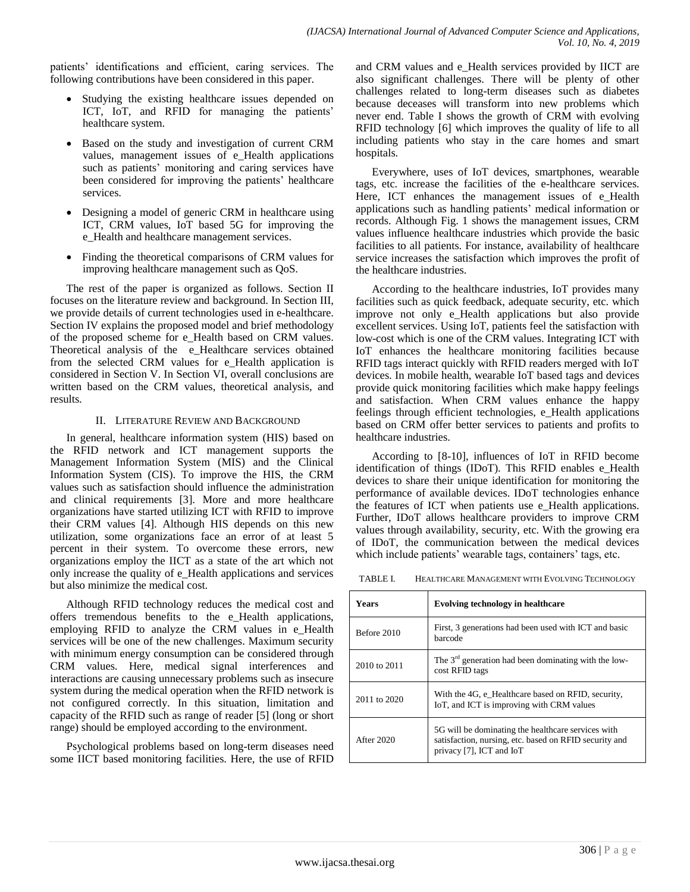patients' identifications and efficient, caring services. The following contributions have been considered in this paper.

- Studying the existing healthcare issues depended on ICT, IoT, and RFID for managing the patients' healthcare system.
- Based on the study and investigation of current CRM values, management issues of e\_Health applications such as patients' monitoring and caring services have been considered for improving the patients' healthcare services.
- Designing a model of generic CRM in healthcare using ICT, CRM values, IoT based 5G for improving the e\_Health and healthcare management services.
- Finding the theoretical comparisons of CRM values for improving healthcare management such as QoS.

The rest of the paper is organized as follows. Section II focuses on the literature review and background. In Section III, we provide details of current technologies used in e-healthcare. Section IV explains the proposed model and brief methodology of the proposed scheme for e\_Health based on CRM values. Theoretical analysis of the e\_Healthcare services obtained from the selected CRM values for e\_Health application is considered in Section V. In Section VI, overall conclusions are written based on the CRM values, theoretical analysis, and results.

# II. LITERATURE REVIEW AND BACKGROUND

In general, healthcare information system (HIS) based on the RFID network and ICT management supports the Management Information System (MIS) and the Clinical Information System (CIS). To improve the HIS, the CRM values such as satisfaction should influence the administration and clinical requirements [3]. More and more healthcare organizations have started utilizing ICT with RFID to improve their CRM values [4]. Although HIS depends on this new utilization, some organizations face an error of at least 5 percent in their system. To overcome these errors, new organizations employ the IICT as a state of the art which not only increase the quality of e\_Health applications and services but also minimize the medical cost.

Although RFID technology reduces the medical cost and offers tremendous benefits to the e\_Health applications, employing RFID to analyze the CRM values in e\_Health services will be one of the new challenges. Maximum security with minimum energy consumption can be considered through CRM values. Here, medical signal interferences and interactions are causing unnecessary problems such as insecure system during the medical operation when the RFID network is not configured correctly. In this situation, limitation and capacity of the RFID such as range of reader [5] (long or short range) should be employed according to the environment.

Psychological problems based on long-term diseases need some IICT based monitoring facilities. Here, the use of RFID and CRM values and e\_Health services provided by IICT are also significant challenges. There will be plenty of other challenges related to long-term diseases such as diabetes because deceases will transform into new problems which never end. Table I shows the growth of CRM with evolving RFID technology [6] which improves the quality of life to all including patients who stay in the care homes and smart hospitals.

Everywhere, uses of IoT devices, smartphones, wearable tags, etc. increase the facilities of the e-healthcare services. Here, ICT enhances the management issues of e-Health applications such as handling patients' medical information or records. Although Fig. 1 shows the management issues, CRM values influence healthcare industries which provide the basic facilities to all patients. For instance, availability of healthcare service increases the satisfaction which improves the profit of the healthcare industries.

According to the healthcare industries, IoT provides many facilities such as quick feedback, adequate security, etc. which improve not only e\_Health applications but also provide excellent services. Using IoT, patients feel the satisfaction with low-cost which is one of the CRM values. Integrating ICT with IoT enhances the healthcare monitoring facilities because RFID tags interact quickly with RFID readers merged with IoT devices. In mobile health, wearable IoT based tags and devices provide quick monitoring facilities which make happy feelings and satisfaction. When CRM values enhance the happy feelings through efficient technologies, e\_Health applications based on CRM offer better services to patients and profits to healthcare industries.

According to [8-10], influences of IoT in RFID become identification of things (IDoT). This RFID enables e\_Health devices to share their unique identification for monitoring the performance of available devices. IDoT technologies enhance the features of ICT when patients use e\_Health applications. Further, IDoT allows healthcare providers to improve CRM values through availability, security, etc. With the growing era of IDoT, the communication between the medical devices which include patients' wearable tags, containers' tags, etc.

TABLE I. HEALTHCARE MANAGEMENT WITH EVOLVING TECHNOLOGY

| <b>Years</b> | <b>Evolving technology in healthcare</b>                                                                                                 |  |
|--------------|------------------------------------------------------------------------------------------------------------------------------------------|--|
| Before 2010  | First, 3 generations had been used with ICT and basic<br>barcode                                                                         |  |
| 2010 to 2011 | The $3rd$ generation had been dominating with the low-<br>cost RFID tags                                                                 |  |
| 2011 to 2020 | With the 4G, e Healthcare based on RFID, security,<br>IoT, and ICT is improving with CRM values                                          |  |
| After 2020   | 5G will be dominating the healthcare services with<br>satisfaction, nursing, etc. based on RFID security and<br>privacy [7], ICT and IoT |  |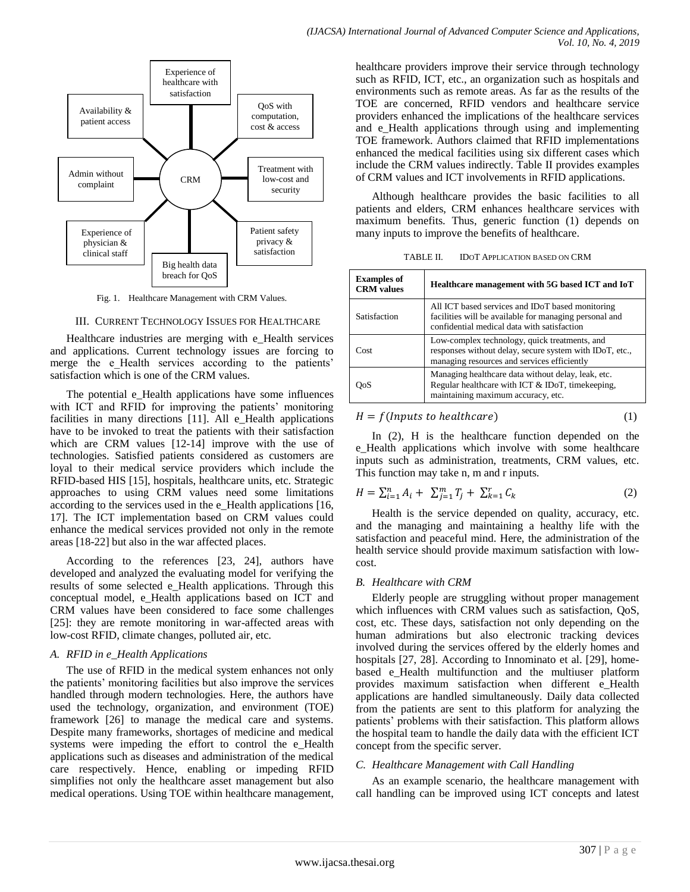

Fig. 1. Healthcare Management with CRM Values.

#### III. CURRENT TECHNOLOGY ISSUES FOR HEALTHCARE

Healthcare industries are merging with e\_Health services and applications. Current technology issues are forcing to merge the e-Health services according to the patients' satisfaction which is one of the CRM values.

The potential e Health applications have some influences with ICT and RFID for improving the patients' monitoring facilities in many directions [11]. All e Health applications have to be invoked to treat the patients with their satisfaction which are CRM values [12-14] improve with the use of technologies. Satisfied patients considered as customers are loyal to their medical service providers which include the RFID-based HIS [15], hospitals, healthcare units, etc. Strategic approaches to using CRM values need some limitations according to the services used in the e\_Health applications [16, 17]. The ICT implementation based on CRM values could enhance the medical services provided not only in the remote areas [18-22] but also in the war affected places.

According to the references [23, 24], authors have developed and analyzed the evaluating model for verifying the results of some selected e\_Health applications. Through this conceptual model, e\_Health applications based on ICT and CRM values have been considered to face some challenges [25]: they are remote monitoring in war-affected areas with low-cost RFID, climate changes, polluted air, etc.

# *A. RFID in e\_Health Applications*

The use of RFID in the medical system enhances not only the patients' monitoring facilities but also improve the services handled through modern technologies. Here, the authors have used the technology, organization, and environment (TOE) framework [26] to manage the medical care and systems. Despite many frameworks, shortages of medicine and medical systems were impeding the effort to control the e\_Health applications such as diseases and administration of the medical care respectively. Hence, enabling or impeding RFID simplifies not only the healthcare asset management but also medical operations. Using TOE within healthcare management, healthcare providers improve their service through technology such as RFID, ICT, etc., an organization such as hospitals and environments such as remote areas. As far as the results of the TOE are concerned, RFID vendors and healthcare service providers enhanced the implications of the healthcare services and e\_Health applications through using and implementing TOE framework. Authors claimed that RFID implementations enhanced the medical facilities using six different cases which include the CRM values indirectly. Table II provides examples of CRM values and ICT involvements in RFID applications.

Although healthcare provides the basic facilities to all patients and elders, CRM enhances healthcare services with maximum benefits. Thus, generic function (1) depends on many inputs to improve the benefits of healthcare.

| TABLE II. | <b>IDOT APPLICATION BASED ON CRM</b> |  |
|-----------|--------------------------------------|--|
|           |                                      |  |

| <b>Examples of</b><br><b>CRM</b> values | Healthcare management with 5G based ICT and IoT                                                                                                           |
|-----------------------------------------|-----------------------------------------------------------------------------------------------------------------------------------------------------------|
| Satisfaction                            | All ICT based services and IDoT based monitoring<br>facilities will be available for managing personal and<br>confidential medical data with satisfaction |
| Cost                                    | Low-complex technology, quick treatments, and<br>responses without delay, secure system with IDoT, etc.,<br>managing resources and services efficiently   |
| ЭoS                                     | Managing healthcare data without delay, leak, etc.<br>Regular healthcare with ICT & IDoT, timekeeping,<br>maintaining maximum accuracy, etc.              |

$$
H = f(InputStream)
$$
 (1)

In (2), H is the healthcare function depended on the e Health applications which involve with some healthcare inputs such as administration, treatments, CRM values, etc. This function may take n, m and r inputs.

$$
H = \sum_{i=1}^{n} A_i + \sum_{j=1}^{m} T_j + \sum_{k=1}^{r} C_k
$$
 (2)

Health is the service depended on quality, accuracy, etc. and the managing and maintaining a healthy life with the satisfaction and peaceful mind. Here, the administration of the health service should provide maximum satisfaction with lowcost.

# *B. Healthcare with CRM*

Elderly people are struggling without proper management which influences with CRM values such as satisfaction, QoS, cost, etc. These days, satisfaction not only depending on the human admirations but also electronic tracking devices involved during the services offered by the elderly homes and hospitals [27, 28]. According to Innominato et al. [29], homebased e\_Health multifunction and the multiuser platform provides maximum satisfaction when different e\_Health applications are handled simultaneously. Daily data collected from the patients are sent to this platform for analyzing the patients' problems with their satisfaction. This platform allows the hospital team to handle the daily data with the efficient ICT concept from the specific server.

# *C. Healthcare Management with Call Handling*

As an example scenario, the healthcare management with call handling can be improved using ICT concepts and latest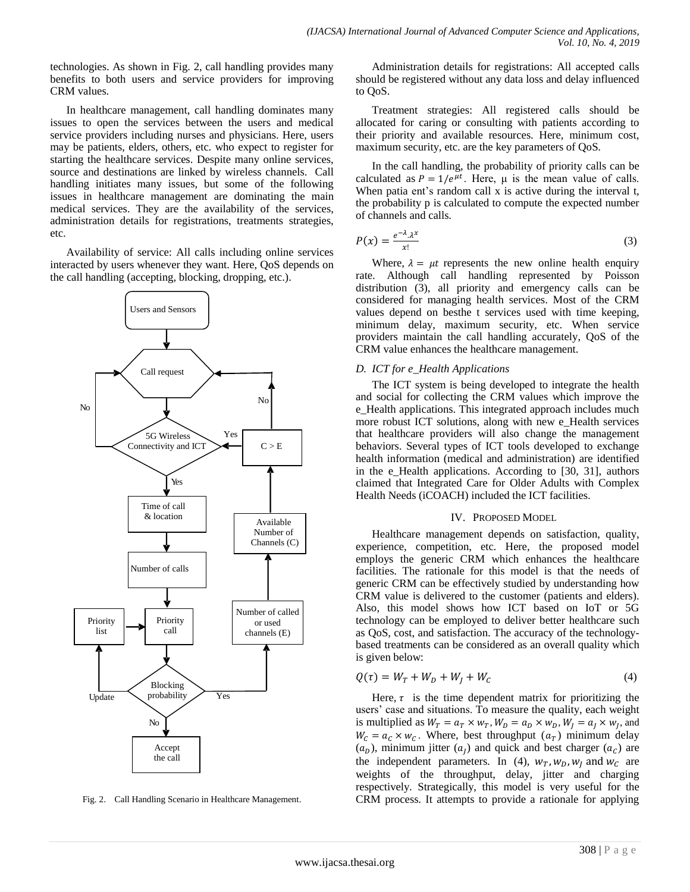technologies. As shown in Fig. 2, call handling provides many benefits to both users and service providers for improving CRM values.

In healthcare management, call handling dominates many issues to open the services between the users and medical service providers including nurses and physicians. Here, users may be patients, elders, others, etc. who expect to register for starting the healthcare services. Despite many online services, source and destinations are linked by wireless channels. Call handling initiates many issues, but some of the following issues in healthcare management are dominating the main medical services. They are the availability of the services, administration details for registrations, treatments strategies, etc.

Availability of service: All calls including online services interacted by users whenever they want. Here, QoS depends on the call handling (accepting, blocking, dropping, etc.).



Fig. 2. Call Handling Scenario in Healthcare Management.

Administration details for registrations: All accepted calls should be registered without any data loss and delay influenced to QoS.

Treatment strategies: All registered calls should be allocated for caring or consulting with patients according to their priority and available resources. Here, minimum cost, maximum security, etc. are the key parameters of QoS.

In the call handling, the probability of priority calls can be calculated as  $P = 1/e^{\mu t}$ . Here,  $\mu$  is the mean value of calls. When patia ent's random call x is active during the interval t, the probability p is calculated to compute the expected number of channels and calls.

$$
P(x) = \frac{e^{-\lambda} \lambda^x}{x!} \tag{3}
$$

Where,  $\lambda = \mu t$  represents the new online health enquiry rate. Although call handling represented by Poisson distribution (3), all priority and emergency calls can be considered for managing health services. Most of the CRM values depend on besthe t services used with time keeping, minimum delay, maximum security, etc. When service providers maintain the call handling accurately, QoS of the CRM value enhances the healthcare management.

#### *D. ICT for e\_Health Applications*

The ICT system is being developed to integrate the health and social for collecting the CRM values which improve the e\_Health applications. This integrated approach includes much more robust ICT solutions, along with new e\_Health services that healthcare providers will also change the management behaviors. Several types of ICT tools developed to exchange health information (medical and administration) are identified in the e\_Health applications. According to [30, 31], authors claimed that Integrated Care for Older Adults with Complex Health Needs (iCOACH) included the ICT facilities.

#### IV. PROPOSED MODEL

Healthcare management depends on satisfaction, quality, experience, competition, etc. Here, the proposed model employs the generic CRM which enhances the healthcare facilities. The rationale for this model is that the needs of generic CRM can be effectively studied by understanding how CRM value is delivered to the customer (patients and elders). Also, this model shows how ICT based on IoT or 5G technology can be employed to deliver better healthcare such as QoS, cost, and satisfaction. The accuracy of the technologybased treatments can be considered as an overall quality which is given below:

$$
Q(\tau) = W_T + W_D + W_I + W_C \tag{4}
$$

Here,  $\tau$  is the time dependent matrix for prioritizing the users' case and situations. To measure the quality, each weight is multiplied as  $W_T = a_T \times w_T$ ,  $W_D = a_D \times w_D$ ,  $W_I = a_I \times w_I$ , and  $W_c = a_c \times w_c$ . Where, best throughput  $(a_T)$  minimum delay  $(a<sub>D</sub>)$ , minimum jitter  $(a<sub>I</sub>)$  and quick and best charger  $(a<sub>C</sub>)$  are the independent parameters. In (4),  $w_T$ ,  $w_D$ ,  $w_J$  and  $w_C$  are weights of the throughput, delay, jitter and charging respectively. Strategically, this model is very useful for the CRM process. It attempts to provide a rationale for applying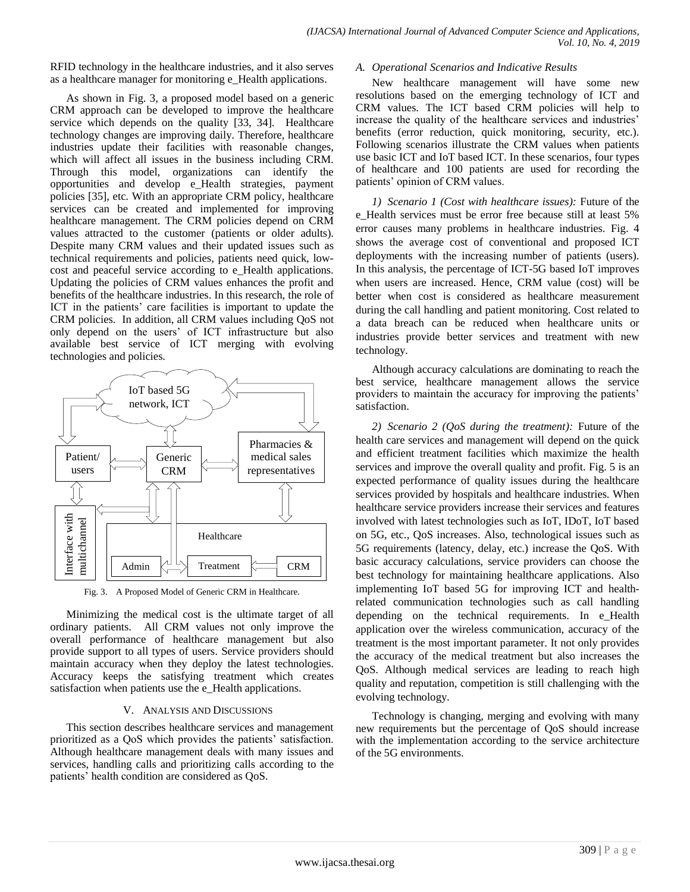RFID technology in the healthcare industries, and it also serves as a healthcare manager for monitoring e\_Health applications.

As shown in Fig. 3, a proposed model based on a generic CRM approach can be developed to improve the healthcare service which depends on the quality [33, 34]. Healthcare technology changes are improving daily. Therefore, healthcare industries update their facilities with reasonable changes, which will affect all issues in the business including CRM. Through this model, organizations can identify the opportunities and develop e\_Health strategies, payment policies [35], etc. With an appropriate CRM policy, healthcare services can be created and implemented for improving healthcare management. The CRM policies depend on CRM values attracted to the customer (patients or older adults). Despite many CRM values and their updated issues such as technical requirements and policies, patients need quick, lowcost and peaceful service according to e\_Health applications. Updating the policies of CRM values enhances the profit and benefits of the healthcare industries. In this research, the role of ICT in the patients' care facilities is important to update the CRM policies. In addition, all CRM values including QoS not only depend on the users' of ICT infrastructure but also available best service of ICT merging with evolving technologies and policies.



Fig. 3. A Proposed Model of Generic CRM in Healthcare.

Minimizing the medical cost is the ultimate target of all ordinary patients. All CRM values not only improve the overall performance of healthcare management but also provide support to all types of users. Service providers should maintain accuracy when they deploy the latest technologies. Accuracy keeps the satisfying treatment which creates satisfaction when patients use the e\_Health applications.

# V. ANALYSIS AND DISCUSSIONS

This section describes healthcare services and management prioritized as a QoS which provides the patients' satisfaction. Although healthcare management deals with many issues and services, handling calls and prioritizing calls according to the patients' health condition are considered as QoS.

### *A. Operational Scenarios and Indicative Results*

New healthcare management will have some new resolutions based on the emerging technology of ICT and CRM values. The ICT based CRM policies will help to increase the quality of the healthcare services and industries' benefits (error reduction, quick monitoring, security, etc.). Following scenarios illustrate the CRM values when patients use basic ICT and IoT based ICT. In these scenarios, four types of healthcare and 100 patients are used for recording the patients' opinion of CRM values.

*1) Scenario 1 (Cost with healthcare issues):* Future of the e Health services must be error free because still at least 5% error causes many problems in healthcare industries. Fig. 4 shows the average cost of conventional and proposed ICT deployments with the increasing number of patients (users). In this analysis, the percentage of ICT-5G based IoT improves when users are increased. Hence, CRM value (cost) will be better when cost is considered as healthcare measurement during the call handling and patient monitoring. Cost related to a data breach can be reduced when healthcare units or industries provide better services and treatment with new technology.

Although accuracy calculations are dominating to reach the best service, healthcare management allows the service providers to maintain the accuracy for improving the patients' satisfaction.

*2) Scenario 2 (QoS during the treatment):* Future of the health care services and management will depend on the quick and efficient treatment facilities which maximize the health services and improve the overall quality and profit. Fig. 5 is an expected performance of quality issues during the healthcare services provided by hospitals and healthcare industries. When healthcare service providers increase their services and features involved with latest technologies such as IoT, IDoT, IoT based on 5G, etc., QoS increases. Also, technological issues such as 5G requirements (latency, delay, etc.) increase the QoS. With basic accuracy calculations, service providers can choose the best technology for maintaining healthcare applications. Also implementing IoT based 5G for improving ICT and healthrelated communication technologies such as call handling depending on the technical requirements. In e\_Health application over the wireless communication, accuracy of the treatment is the most important parameter. It not only provides the accuracy of the medical treatment but also increases the QoS. Although medical services are leading to reach high quality and reputation, competition is still challenging with the evolving technology.

Technology is changing, merging and evolving with many new requirements but the percentage of QoS should increase with the implementation according to the service architecture of the 5G environments.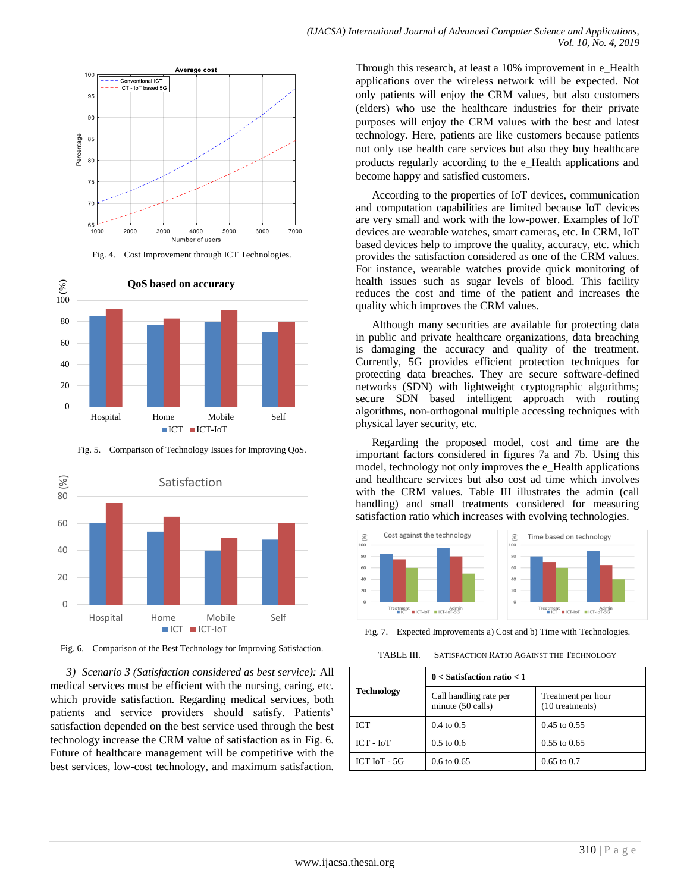



Fig. 4. Cost Improvement through ICT Technologies.



Fig. 5. Comparison of Technology Issues for Improving QoS.



Fig. 6. Comparison of the Best Technology for Improving Satisfaction.

*3) Scenario 3 (Satisfaction considered as best service):* All medical services must be efficient with the nursing, caring, etc. which provide satisfaction. Regarding medical services, both patients and service providers should satisfy. Patients' satisfaction depended on the best service used through the best technology increase the CRM value of satisfaction as in Fig. 6. Future of healthcare management will be competitive with the best services, low-cost technology, and maximum satisfaction.

Through this research, at least a 10% improvement in e\_Health applications over the wireless network will be expected. Not only patients will enjoy the CRM values, but also customers (elders) who use the healthcare industries for their private purposes will enjoy the CRM values with the best and latest technology. Here, patients are like customers because patients not only use health care services but also they buy healthcare products regularly according to the e\_Health applications and become happy and satisfied customers.

According to the properties of IoT devices, communication and computation capabilities are limited because IoT devices are very small and work with the low-power. Examples of IoT devices are wearable watches, smart cameras, etc. In CRM, IoT based devices help to improve the quality, accuracy, etc. which provides the satisfaction considered as one of the CRM values. For instance, wearable watches provide quick monitoring of health issues such as sugar levels of blood. This facility reduces the cost and time of the patient and increases the quality which improves the CRM values.

Although many securities are available for protecting data in public and private healthcare organizations, data breaching is damaging the accuracy and quality of the treatment. Currently, 5G provides efficient protection techniques for protecting data breaches. They are secure software-defined networks (SDN) with lightweight cryptographic algorithms; secure SDN based intelligent approach with routing algorithms, non-orthogonal multiple accessing techniques with physical layer security, etc.

Regarding the proposed model, cost and time are the important factors considered in figures 7a and 7b. Using this model, technology not only improves the e\_Health applications and healthcare services but also cost ad time which involves with the CRM values. Table III illustrates the admin (call handling) and small treatments considered for measuring satisfaction ratio which increases with evolving technologies.



Fig. 7. Expected Improvements a) Cost and b) Time with Technologies.

TABLE III. SATISFACTION RATIO AGAINST THE TECHNOLOGY

| Technology       | $0 <$ Satisfaction ratio $< 1$              |                                       |  |
|------------------|---------------------------------------------|---------------------------------------|--|
|                  | Call handling rate per<br>minute (50 calls) | Treatment per hour<br>(10 treatments) |  |
| <b>ICT</b>       | $0.4 \text{ to } 0.5$                       | $0.45$ to $0.55$                      |  |
| ICT - IoT        | $0.5 \text{ to } 0.6$                       | $0.55$ to $0.65$                      |  |
| $ICT$ $IoT - 5G$ | $0.6 \text{ to } 0.65$                      | $0.65$ to $0.7$                       |  |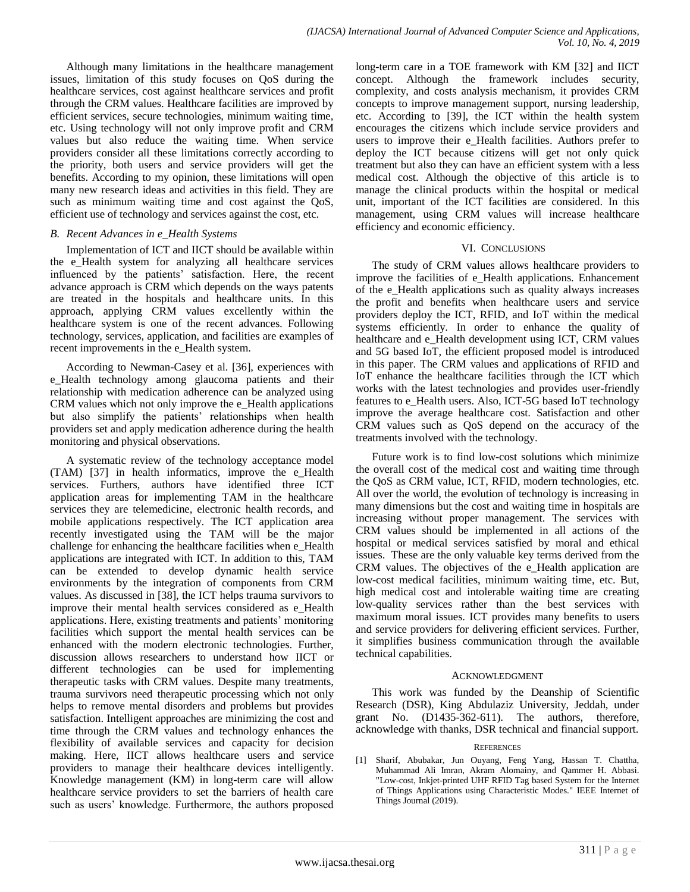Although many limitations in the healthcare management issues, limitation of this study focuses on QoS during the healthcare services, cost against healthcare services and profit through the CRM values. Healthcare facilities are improved by efficient services, secure technologies, minimum waiting time, etc. Using technology will not only improve profit and CRM values but also reduce the waiting time. When service providers consider all these limitations correctly according to the priority, both users and service providers will get the benefits. According to my opinion, these limitations will open many new research ideas and activities in this field. They are such as minimum waiting time and cost against the QoS, efficient use of technology and services against the cost, etc.

# *B. Recent Advances in e\_Health Systems*

Implementation of ICT and IICT should be available within the e\_Health system for analyzing all healthcare services influenced by the patients' satisfaction. Here, the recent advance approach is CRM which depends on the ways patents are treated in the hospitals and healthcare units. In this approach, applying CRM values excellently within the healthcare system is one of the recent advances. Following technology, services, application, and facilities are examples of recent improvements in the e\_Health system.

According to Newman-Casey et al. [36], experiences with e\_Health technology among glaucoma patients and their relationship with medication adherence can be analyzed using CRM values which not only improve the e\_Health applications but also simplify the patients' relationships when health providers set and apply medication adherence during the health monitoring and physical observations.

A systematic review of the technology acceptance model (TAM) [37] in health informatics, improve the e\_Health services. Furthers, authors have identified three ICT application areas for implementing TAM in the healthcare services they are telemedicine, electronic health records, and mobile applications respectively. The ICT application area recently investigated using the TAM will be the major challenge for enhancing the healthcare facilities when e\_Health applications are integrated with ICT. In addition to this, TAM can be extended to develop dynamic health service environments by the integration of components from CRM values. As discussed in [38], the ICT helps trauma survivors to improve their mental health services considered as e\_Health applications. Here, existing treatments and patients' monitoring facilities which support the mental health services can be enhanced with the modern electronic technologies. Further, discussion allows researchers to understand how IICT or different technologies can be used for implementing therapeutic tasks with CRM values. Despite many treatments, trauma survivors need therapeutic processing which not only helps to remove mental disorders and problems but provides satisfaction. Intelligent approaches are minimizing the cost and time through the CRM values and technology enhances the flexibility of available services and capacity for decision making. Here, IICT allows healthcare users and service providers to manage their healthcare devices intelligently. Knowledge management (KM) in long-term care will allow healthcare service providers to set the barriers of health care such as users' knowledge. Furthermore, the authors proposed

long-term care in a TOE framework with KM [32] and IICT concept. Although the framework includes security, complexity, and costs analysis mechanism, it provides CRM concepts to improve management support, nursing leadership, etc. According to [39], the ICT within the health system encourages the citizens which include service providers and users to improve their e\_Health facilities. Authors prefer to deploy the ICT because citizens will get not only quick treatment but also they can have an efficient system with a less medical cost. Although the objective of this article is to manage the clinical products within the hospital or medical unit, important of the ICT facilities are considered. In this management, using CRM values will increase healthcare efficiency and economic efficiency.

# VI. CONCLUSIONS

The study of CRM values allows healthcare providers to improve the facilities of e\_Health applications. Enhancement of the e\_Health applications such as quality always increases the profit and benefits when healthcare users and service providers deploy the ICT, RFID, and IoT within the medical systems efficiently. In order to enhance the quality of healthcare and e\_Health development using ICT, CRM values and 5G based IoT, the efficient proposed model is introduced in this paper. The CRM values and applications of RFID and IoT enhance the healthcare facilities through the ICT which works with the latest technologies and provides user-friendly features to e\_Health users. Also, ICT-5G based IoT technology improve the average healthcare cost. Satisfaction and other CRM values such as QoS depend on the accuracy of the treatments involved with the technology.

Future work is to find low-cost solutions which minimize the overall cost of the medical cost and waiting time through the QoS as CRM value, ICT, RFID, modern technologies, etc. All over the world, the evolution of technology is increasing in many dimensions but the cost and waiting time in hospitals are increasing without proper management. The services with CRM values should be implemented in all actions of the hospital or medical services satisfied by moral and ethical issues. These are the only valuable key terms derived from the CRM values. The objectives of the e\_Health application are low-cost medical facilities, minimum waiting time, etc. But, high medical cost and intolerable waiting time are creating low-quality services rather than the best services with maximum moral issues. ICT provides many benefits to users and service providers for delivering efficient services. Further, it simplifies business communication through the available technical capabilities.

# ACKNOWLEDGMENT

This work was funded by the Deanship of Scientific Research (DSR), King Abdulaziz University, Jeddah, under grant No. (D1435-362-611). The authors, therefore, acknowledge with thanks, DSR technical and financial support.

# **REFERENCES**

[1] Sharif, Abubakar, Jun Ouyang, Feng Yang, Hassan T. Chattha, Muhammad Ali Imran, Akram Alomainy, and Qammer H. Abbasi. "Low-cost, Inkjet-printed UHF RFID Tag based System for the Internet of Things Applications using Characteristic Modes." IEEE Internet of Things Journal (2019).